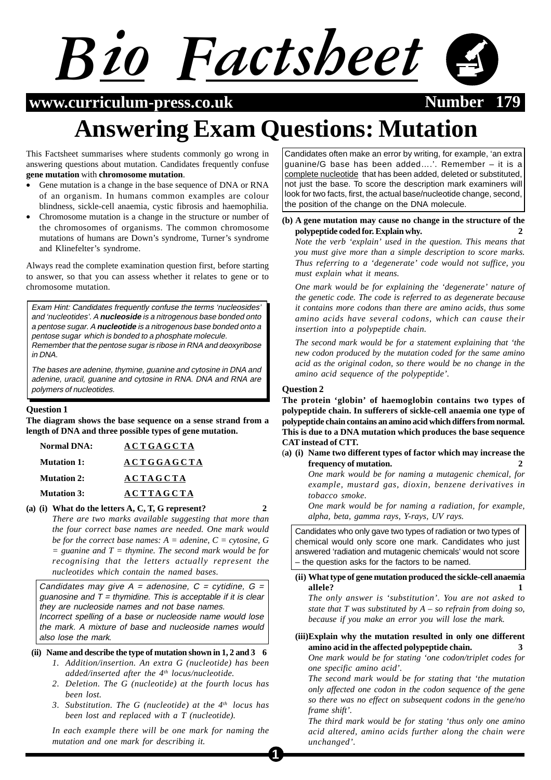# *Bio Factsheet*

### **www.curriculum-press.co.uk 1799 Number**



# **Answering Exam Questions: Mutation**

This Factsheet summarises where students commonly go wrong in answering questions about mutation. Candidates frequently confuse **gene mutation** with **chromosome mutation**.

- Gene mutation is a change in the base sequence of DNA or RNA of an organism. In humans common examples are colour blindness, sickle-cell anaemia, cystic fibrosis and haemophilia.
- Chromosome mutation is a change in the structure or number of the chromosomes of organisms. The common chromosome mutations of humans are Down's syndrome, Turner's syndrome and Klinefelter's syndrome.

Always read the complete examination question first, before starting to answer, so that you can assess whether it relates to gene or to chromosome mutation.

Exam Hint: Candidates frequently confuse the terms 'nucleosides' and 'nucleotides'. A **nucleoside** is a nitrogenous base bonded onto a pentose sugar. A **nucleotide** is a nitrogenous base bonded onto a pentose sugar which is bonded to a phosphate molecule. Remember that the pentose sugar is ribose in RNA and deoxyribose in DNA.

The bases are adenine, thymine, guanine and cytosine in DNA and adenine, uracil, guanine and cytosine in RNA. DNA and RNA are polymers of nucleotides.

#### **Question 1**

**The diagram shows the base sequence on a sense strand from a length of DNA and three possible types of gene mutation.**

| <b>Normal DNA:</b> | <b>ACTGAGCTA</b>  |
|--------------------|-------------------|
| <b>Mutation 1:</b> | <b>ACTGGAGCTA</b> |
| <b>Mutation 2:</b> | <b>ACTAGCTA</b>   |
| <b>Mutation 3:</b> | <b>ACTTAGCTA</b>  |

**(a) (i) What do the letters A, C, T, G represent? 2** *There are two marks available suggesting that more than the four correct base names are needed. One mark would be for the correct base names: A = adenine, C = cytosine, G = guanine and T = thymine. The second mark would be for recognising that the letters actually represent the nucleotides which contain the named bases.*

Candidates may give  $A = adenosine$ ,  $C = cytidine$ ,  $G =$ guanosine and  $T = th$ ymidine. This is acceptable if it is clear they are nucleoside names and not base names. Incorrect spelling of a base or nucleoside name would lose

the mark. A mixture of base and nucleoside names would also lose the mark*.*

#### **(ii) Name and describe the type of mutation shown in 1, 2 and 3 6**

- *1. Addition/insertion. An extra G (nucleotide) has been added/inserted after the 4th locus/nucleotide.*
- *2. Deletion. The G (nucleotide) at the fourth locus has been lost.*
- *3. Substitution. The G (nucleotide) at the 4th locus has been lost and replaced with a T (nucleotide).*

*In each example there will be one mark for naming the mutation and one mark for describing it.*

Candidates often make an error by writing, for example, 'an extra guanine/G base has been added….'. Remember – it is a complete nucleotide that has been added, deleted or substituted, not just the base. To score the description mark examiners will look for two facts, first, the actual base/nucleotide change, second, the position of the change on the DNA molecule.

#### **(b) A gene mutation may cause no change in the structure of the polypeptide coded for. Explain why. 2**

*Note the verb 'explain' used in the question. This means that you must give more than a simple description to score marks. Thus referring to a 'degenerate' code would not suffice, you must explain what it means.*

*One mark would be for explaining the 'degenerate' nature of the genetic code. The code is referred to as degenerate because it contains more codons than there are amino acids, thus some amino acids have several codons, which can cause their insertion into a polypeptide chain.*

*The second mark would be for a statement explaining that 'the new codon produced by the mutation coded for the same amino acid as the original codon, so there would be no change in the amino acid sequence of the polypeptide'.*

#### **Question 2**

**The protein 'globin' of haemoglobin contains two types of polypeptide chain. In sufferers of sickle-cell anaemia one type of polypeptide chain contains an amino acid which differs from normal. This is due to a DNA mutation which produces the base sequence CAT instead of CTT.**

(**a) (i) Name two different types of factor which may increase the frequency of mutation. 2**

> *One mark would be for naming a mutagenic chemical, for example, mustard gas, dioxin, benzene derivatives in tobacco smoke.*

> *One mark would be for naming a radiation, for example, alpha, beta, gamma rays, Y-rays, UV rays.*

Candidates who only gave two types of radiation or two types of chemical would only score one mark. Candidates who just answered 'radiation and mutagenic chemicals' would not score – the question asks for the factors to be named.

#### **(ii) What type of gene mutation produced the sickle-cell anaemia allele? 1**

*The only answer is 'substitution'. You are not asked to state that T was substituted by A – so refrain from doing so, because if you make an error you will lose the mark.*

#### **(iii)Explain why the mutation resulted in only one different amino acid in the affected polypeptide chain. 3**

*One mark would be for stating 'one codon/triplet codes for one specific amino acid'.*

*The second mark would be for stating that 'the mutation only affected one codon in the codon sequence of the gene so there was no effect on subsequent codons in the gene/no frame shift'.*

*The third mark would be for stating 'thus only one amino acid altered, amino acids further along the chain were unchanged'.*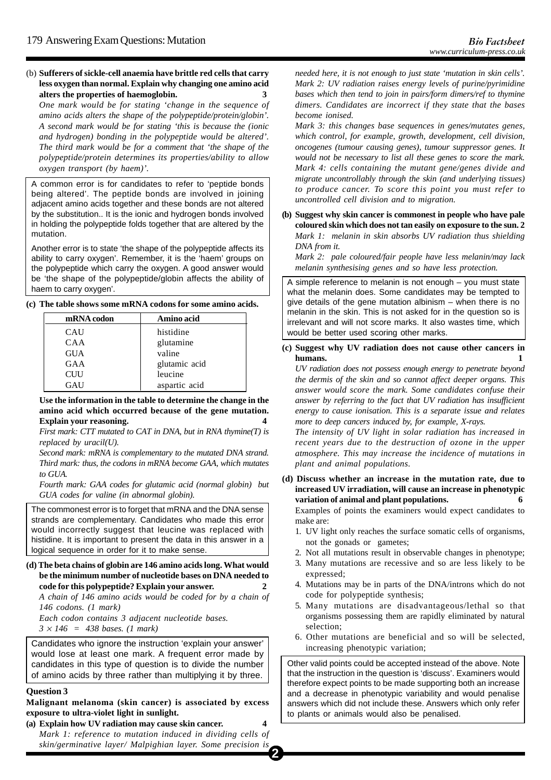(b) **Sufferers of sickle-cell anaemia have brittle red cells that carry less oxygen than normal. Explain why changing one amino acid alters the properties of haemoglobin. 3** *One mark would be for stating 'change in the sequence of amino acids alters the shape of the polypeptide/protein/globin'. A second mark would be for stating 'this is because the (ionic and hydrogen) bonding in the polypeptide would be altered'. The third mark would be for a comment that 'the shape of the polypeptide/protein determines its properties/ability to allow oxygen transport (by haem)'.*

A common error is for candidates to refer to 'peptide bonds being altered'. The peptide bonds are involved in joining adjacent amino acids together and these bonds are not altered by the substitution.. It is the ionic and hydrogen bonds involved in holding the polypeptide folds together that are altered by the mutation.

Another error is to state 'the shape of the polypeptide affects its ability to carry oxygen'. Remember, it is the 'haem' groups on the polypeptide which carry the oxygen. A good answer would be 'the shape of the polypeptide/globin affects the ability of haem to carry oxygen'.

**(c) The table shows some mRNA codons for some amino acids.**

| mRNA codon | Amino acid    |
|------------|---------------|
| CAU        | histidine     |
| CAA        | glutamine     |
| <b>GUA</b> | valine        |
| GAA        | glutamic acid |
| <b>CUU</b> | leucine       |
| GAU        | aspartic acid |

**Use the information in the table to determine the change in the amino acid which occurred because of the gene mutation. Explain your reasoning. 4**

*First mark: CTT mutated to CAT in DNA, but in RNA thymine(T) is replaced by uracil(U).*

*Second mark: mRNA is complementary to the mutated DNA strand. Third mark: thus, the codons in mRNA become GAA, which mutates to GUA.*

*Fourth mark: GAA codes for glutamic acid (normal globin) but GUA codes for valine (in abnormal globin).*

The commonest error is to forget that mRNA and the DNA sense strands are complementary. Candidates who made this error would incorrectly suggest that leucine was replaced with histidine. It is important to present the data in this answer in a logical sequence in order for it to make sense.

**(d) The beta chains of globin are 146 amino acids long. What would be the minimum number of nucleotide bases on DNA needed to code for this polypeptide? Explain your answer. 2**

*A chain of 146 amino acids would be coded for by a chain of 146 codons. (1 mark)*

*Each codon contains 3 adjacent nucleotide bases. 3* × *146 = 438 bases. (1 mark)*

Candidates who ignore the instruction 'explain your answer' would lose at least one mark. A frequent error made by candidates in this type of question is to divide the number of amino acids by three rather than multiplying it by three.

#### **Question 3**

**Malignant melanoma (skin cancer) is associated by excess exposure to ultra-violet light in sunlight.**

**2 (a) Explain how UV radiation may cause skin cancer. 4** *Mark 1: reference to mutation induced in dividing cells of skin/germinative layer/ Malpighian layer. Some precision is*

*needed here, it is not enough to just state 'mutation in skin cells'. Mark 2: UV radiation raises energy levels of purine/pyrimidine bases which then tend to join in pairs/form dimers/ref to thymine dimers. Candidates are incorrect if they state that the bases become ionised.*

*Mark 3: this changes base sequences in genes/mutates genes, which control, for example, growth, development, cell division, oncogenes (tumour causing genes), tumour suppressor genes. It would not be necessary to list all these genes to score the mark. Mark 4: cells containing the mutant gene/genes divide and migrate uncontrollably through the skin (and underlying tissues) to produce cancer. To score this point you must refer to uncontrolled cell division and to migration.*

**(b) Suggest why skin cancer is commonest in people who have pale coloured skin which does not tan easily on exposure to the sun. 2** *Mark 1: melanin in skin absorbs UV radiation thus shielding DNA from it.*

*Mark 2: pale coloured/fair people have less melanin/may lack melanin synthesising genes and so have less protection.*

A simple reference to melanin is not enough – you must state what the melanin does. Some candidates may be tempted to give details of the gene mutation albinism – when there is no melanin in the skin. This is not asked for in the question so is irrelevant and will not score marks. It also wastes time, which would be better used scoring other marks.

**(c) Suggest why UV radiation does not cause other cancers in** humans.

*UV radiation does not possess enough energy to penetrate beyond the dermis of the skin and so cannot affect deeper organs. This answer would score the mark. Some candidates confuse their answer by referring to the fact that UV radiation has insufficient energy to cause ionisation. This is a separate issue and relates more to deep cancers induced by, for example, X-rays.*

*The intensity of UV light in solar radiation has increased in recent years due to the destruction of ozone in the upper atmosphere. This may increase the incidence of mutations in plant and animal populations.*

**(d) Discuss whether an increase in the mutation rate, due to increased UV irradiation, will cause an increase in phenotypic variation of animal and plant populations. 6**

Examples of points the examiners would expect candidates to make are:

- 1. UV light only reaches the surface somatic cells of organisms, not the gonads or gametes;
- 2. Not all mutations result in observable changes in phenotype;
- 3. Many mutations are recessive and so are less likely to be expressed;
- 4. Mutations may be in parts of the DNA/introns which do not code for polypeptide synthesis;
- 5. Many mutations are disadvantageous/lethal so that organisms possessing them are rapidly eliminated by natural selection;
- 6. Other mutations are beneficial and so will be selected, increasing phenotypic variation;

Other valid points could be accepted instead of the above. Note that the instruction in the question is 'discuss'. Examiners would therefore expect points to be made supporting both an increase and a decrease in phenotypic variability and would penalise answers which did not include these. Answers which only refer to plants or animals would also be penalised.